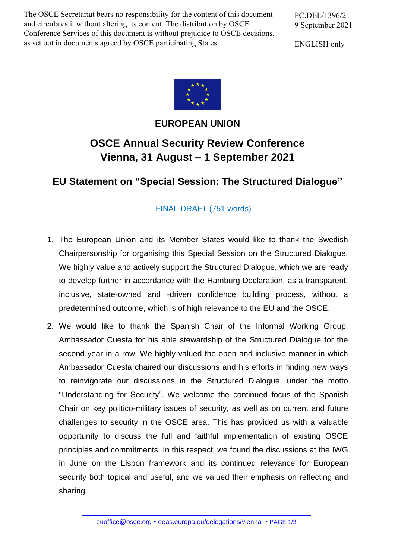The OSCE Secretariat bears no responsibility for the content of this document and circulates it without altering its content. The distribution by OSCE Conference Services of this document is without prejudice to OSCE decisions, as set out in documents agreed by OSCE participating States.

PC.DEL/1396/21 9 September 2021

ENGLISH only



**EUROPEAN UNION**

## **OSCE Annual Security Review Conference Vienna, 31 August – 1 September 2021**

**EU Statement on "Special Session: The Structured Dialogue"**

## FINAL DRAFT (751 words)

- 1. The European Union and its Member States would like to thank the Swedish Chairpersonship for organising this Special Session on the Structured Dialogue. We highly value and actively support the Structured Dialogue, which we are ready to develop further in accordance with the Hamburg Declaration, as a transparent, inclusive, state-owned and -driven confidence building process, without a predetermined outcome, which is of high relevance to the EU and the OSCE.
- 2. We would like to thank the Spanish Chair of the Informal Working Group, Ambassador Cuesta for his able stewardship of the Structured Dialogue for the second year in a row. We highly valued the open and inclusive manner in which Ambassador Cuesta chaired our discussions and his efforts in finding new ways to reinvigorate our discussions in the Structured Dialogue, under the motto "Understanding for Security". We welcome the continued focus of the Spanish Chair on key politico-military issues of security, as well as on current and future challenges to security in the OSCE area. This has provided us with a valuable opportunity to discuss the full and faithful implementation of existing OSCE principles and commitments. In this respect, we found the discussions at the IWG in June on the Lisbon framework and its continued relevance for European security both topical and useful, and we valued their emphasis on reflecting and sharing.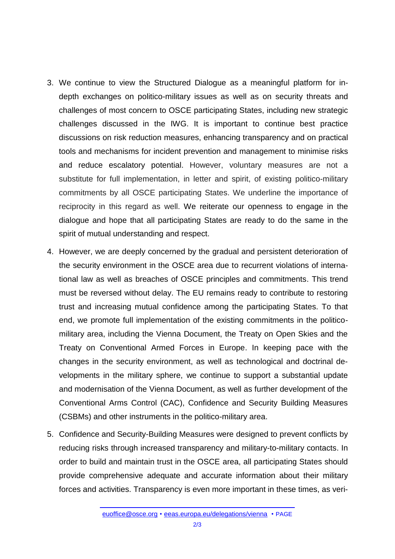- 3. We continue to view the Structured Dialogue as a meaningful platform for indepth exchanges on politico-military issues as well as on security threats and challenges of most concern to OSCE participating States, including new strategic challenges discussed in the IWG. It is important to continue best practice discussions on risk reduction measures, enhancing transparency and on practical tools and mechanisms for incident prevention and management to minimise risks and reduce escalatory potential. However, voluntary measures are not a substitute for full implementation, in letter and spirit, of existing politico-military commitments by all OSCE participating States. We underline the importance of reciprocity in this regard as well. We reiterate our openness to engage in the dialogue and hope that all participating States are ready to do the same in the spirit of mutual understanding and respect.
- 4. However, we are deeply concerned by the gradual and persistent deterioration of the security environment in the OSCE area due to recurrent violations of international law as well as breaches of OSCE principles and commitments. This trend must be reversed without delay. The EU remains ready to contribute to restoring trust and increasing mutual confidence among the participating States. To that end, we promote full implementation of the existing commitments in the politicomilitary area, including the Vienna Document, the Treaty on Open Skies and the Treaty on Conventional Armed Forces in Europe. In keeping pace with the changes in the security environment, as well as technological and doctrinal developments in the military sphere, we continue to support a substantial update and modernisation of the Vienna Document, as well as further development of the Conventional Arms Control (CAC), Confidence and Security Building Measures (CSBMs) and other instruments in the politico-military area.
- 5. Confidence and Security-Building Measures were designed to prevent conflicts by reducing risks through increased transparency and military-to-military contacts. In order to build and maintain trust in the OSCE area, all participating States should provide comprehensive adequate and accurate information about their military forces and activities. Transparency is even more important in these times, as veri-

[euoffice@osce.org](mailto:euoffice@osce.org) • [eeas.europa.eu/delegations/vienna](http://eeas.europa.eu/delegations/vienna) • PAGE